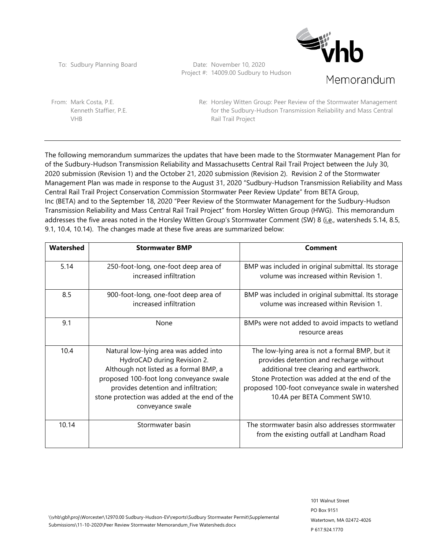**Sight** Memorandum

To: Sudbury Planning Board Date: November 10, 2020 Project #: 14009.00 Sudbury to Hudson

From: Mark Costa, P.E. Kenneth Staffier, P.E. VHB

Re: Horsley Witten Group: Peer Review of the Stormwater Management for the Sudbury-Hudson Transmission Reliability and Mass Central Rail Trail Project

The following memorandum summarizes the updates that have been made to the Stormwater Management Plan for of the Sudbury-Hudson Transmission Reliability and Massachusetts Central Rail Trail Project between the July 30, 2020 submission (Revision 1) and the October 21, 2020 submission (Revision 2). Revision 2 of the Stormwater Management Plan was made in response to the August 31, 2020 "Sudbury-Hudson Transmission Reliability and Mass Central Rail Trail Project Conservation Commission Stormwater Peer Review Update" from BETA Group, Inc (BETA) and to the September 18, 2020 "Peer Review of the Stormwater Management for the Sudbury-Hudson Transmission Reliability and Mass Central Rail Trail Project" from Horsley Witten Group (HWG). This memorandum addresses the five areas noted in the Horsley Witten Group's Stormwater Comment (SW) 8 (*i.e.*, watersheds 5.14, 8.5, 9.1, 10.4, 10.14). The changes made at these five areas are summarized below:

| Watershed | <b>Stormwater BMP</b>                                                                                                                                                                                                                                                 | Comment                                                                                                                                                                                                                                                                 |
|-----------|-----------------------------------------------------------------------------------------------------------------------------------------------------------------------------------------------------------------------------------------------------------------------|-------------------------------------------------------------------------------------------------------------------------------------------------------------------------------------------------------------------------------------------------------------------------|
| 5.14      | 250-foot-long, one-foot deep area of<br>increased infiltration                                                                                                                                                                                                        | BMP was included in original submittal. Its storage<br>volume was increased within Revision 1.                                                                                                                                                                          |
| 8.5       | 900-foot-long, one-foot deep area of<br>increased infiltration                                                                                                                                                                                                        | BMP was included in original submittal. Its storage<br>volume was increased within Revision 1.                                                                                                                                                                          |
| 9.1       | None                                                                                                                                                                                                                                                                  | BMPs were not added to avoid impacts to wetland<br>resource areas                                                                                                                                                                                                       |
| 10.4      | Natural low-lying area was added into<br>HydroCAD during Revision 2.<br>Although not listed as a formal BMP, a<br>proposed 100-foot long conveyance swale<br>provides detention and infiltration;<br>stone protection was added at the end of the<br>conveyance swale | The low-lying area is not a formal BMP, but it<br>provides detention and recharge without<br>additional tree clearing and earthwork.<br>Stone Protection was added at the end of the<br>proposed 100-foot conveyance swale in watershed<br>10.4A per BETA Comment SW10. |
| 10.14     | Stormwater basin                                                                                                                                                                                                                                                      | The stormwater basin also addresses stormwater<br>from the existing outfall at Landham Road                                                                                                                                                                             |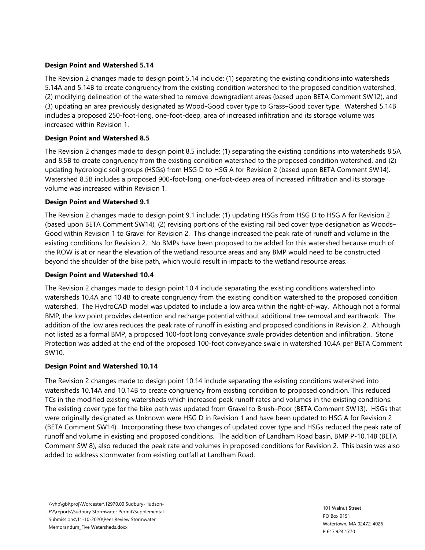### **Design Point and Watershed 5.14**

The Revision 2 changes made to design point 5.14 include: (1) separating the existing conditions into watersheds 5.14A and 5.14B to create congruency from the existing condition watershed to the proposed condition watershed, (2) modifying delineation of the watershed to remove downgradient areas (based upon BETA Comment SW12), and (3) updating an area previously designated as Wood-Good cover type to Grass–Good cover type. Watershed 5.14B includes a proposed 250-foot-long, one-foot-deep, area of increased infiltration and its storage volume was increased within Revision 1.

### **Design Point and Watershed 8.5**

The Revision 2 changes made to design point 8.5 include: (1) separating the existing conditions into watersheds 8.5A and 8.5B to create congruency from the existing condition watershed to the proposed condition watershed, and (2) updating hydrologic soil groups (HSGs) from HSG D to HSG A for Revision 2 (based upon BETA Comment SW14). Watershed 8.5B includes a proposed 900-foot-long, one-foot-deep area of increased infiltration and its storage volume was increased within Revision 1.

### **Design Point and Watershed 9.1**

The Revision 2 changes made to design point 9.1 include: (1) updating HSGs from HSG D to HSG A for Revision 2 (based upon BETA Comment SW14), (2) revising portions of the existing rail bed cover type designation as Woods– Good within Revision 1 to Gravel for Revision 2. This change increased the peak rate of runoff and volume in the existing conditions for Revision 2. No BMPs have been proposed to be added for this watershed because much of the ROW is at or near the elevation of the wetland resource areas and any BMP would need to be constructed beyond the shoulder of the bike path, which would result in impacts to the wetland resource areas.

### **Design Point and Watershed 10.4**

The Revision 2 changes made to design point 10.4 include separating the existing conditions watershed into watersheds 10.4A and 10.4B to create congruency from the existing condition watershed to the proposed condition watershed. The HydroCAD model was updated to include a low area within the right-of-way. Although not a formal BMP, the low point provides detention and recharge potential without additional tree removal and earthwork. The addition of the low area reduces the peak rate of runoff in existing and proposed conditions in Revision 2. Although not listed as a formal BMP, a proposed 100-foot long conveyance swale provides detention and infiltration. Stone Protection was added at the end of the proposed 100-foot conveyance swale in watershed 10.4A per BETA Comment SW10.

### **Design Point and Watershed 10.14**

The Revision 2 changes made to design point 10.14 include separating the existing conditions watershed into watersheds 10.14A and 10.14B to create congruency from existing condition to proposed condition. This reduced TCs in the modified existing watersheds which increased peak runoff rates and volumes in the existing conditions. The existing cover type for the bike path was updated from Gravel to Brush–Poor (BETA Comment SW13). HSGs that were originally designated as Unknown were HSG D in Revision 1 and have been updated to HSG A for Revision 2 (BETA Comment SW14). Incorporating these two changes of updated cover type and HSGs reduced the peak rate of runoff and volume in existing and proposed conditions. The addition of Landham Road basin, BMP P-10.14B (BETA Comment SW 8), also reduced the peak rate and volumes in proposed conditions for Revision 2. This basin was also added to address stormwater from existing outfall at Landham Road.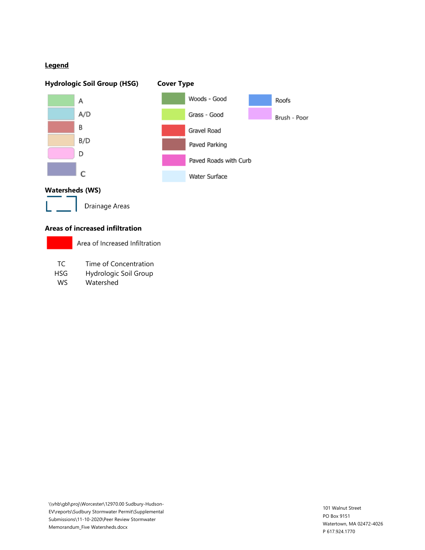### **Legend**



### **Areas of increased infiltration**

|     | Area of Increased Infiltration |
|-----|--------------------------------|
|     |                                |
| TC. | Time of Concentration          |

HSG Hydrologic Soil Group

WS Watershed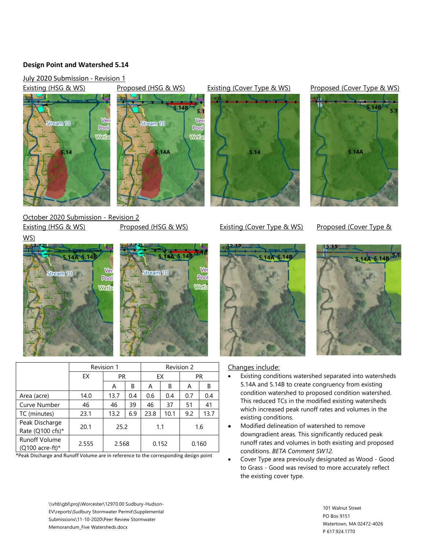### **Design Point and Watershed 5.14**

July 2020 Submission - Revision 1





October 2020 Submission - Revision 2 Existing (HSG & WS) Proposed (HSG & WS) Existing (Cover Type & WS) Proposed (Cover Type &

WS)





|                                           | Revision 1 |           |     | Revision 2 |      |           |      |
|-------------------------------------------|------------|-----------|-----|------------|------|-----------|------|
|                                           | EX         | <b>PR</b> |     | EX         |      | <b>PR</b> |      |
|                                           |            | A         | В   | A          | В    | A         | В    |
| Area (acre)                               | 14.0       | 13.7      | 0.4 | 0.6        | 0.4  | 0.7       | 0.4  |
| Curve Number                              | 46         | 46        | 39  | 46         | 37   | 51        | 41   |
| TC (minutes)                              | 23.1       | 13.2      | 6.9 | 23.8       | 10.1 | 9.2       | 13.7 |
| Peak Discharge<br>Rate ( $Q100$ cfs)*     | 20.1       | 25.2      |     | 1.1        |      | 1.6       |      |
| <b>Runoff Volume</b><br>$(Q100$ acre-ft)* | 2.555      | 2.568     |     | 0.152      |      | 0.160     |      |

\*Peak Discharge and Runoff Volume are in reference to the corresponding design point

### Existing (HSG & WS) Proposed (HSG & WS) Existing (Cover Type & WS) Proposed (Cover Type & WS)









### Changes include:

- Existing conditions watershed separated into watersheds 5.14A and 5.14B to create congruency from existing condition watershed to proposed condition watershed. This reduced TCs in the modified existing watersheds which increased peak runoff rates and volumes in the existing conditions.
- Modified delineation of watershed to remove downgradient areas. This significantly reduced peak runoff rates and volumes in both existing and proposed conditions. *BETA Comment SW12.*
- Cover Type area previously designated as Wood Good to Grass - Good was revised to more accurately reflect the existing cover type.

\\vhb\gbl\proj\Worcester\12970.00 Sudbury-Hudson-EV\reports\Sudbury Stormwater Permit\Supplemental Submissions\11-10-2020\Peer Review Stormwater Memorandum\_Five Watersheds.docx

101 Walnut Street PO Box 9151 Watertown, MA 02472-4026 P 617.924.1770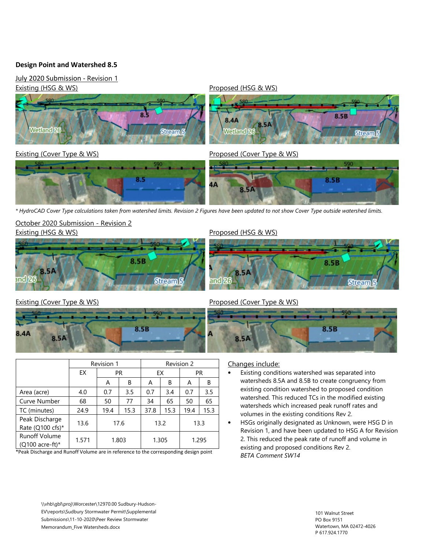### **Design Point and Watershed 8.5**

July 2020 Submission - Revision 1





*\* HydroCAD Cover Type calculations taken from watershed limits. Revision 2 Figures have been updated to not show Cover Type outside watershed limits.*

### October 2020 Submission - Revision 2





### Existing (HSG & WS) **Proposed (HSG & WS)** Proposed (HSG & WS)



Peak Discharge

Runoff Volume

### Existing (Cover Type & WS) Cover Type & WS)



Area (acre)  $\begin{array}{|c|c|c|c|c|c|c|c|c|} \hline \end{array}$  4.0 0.7 3.5 0.7 3.4 0.7 3.5 Curve Number | 68 | 50 | 77 | 34 | 65 | 50 | 65 TC (minutes) | 24.9 | 19.4 | 15.3 | 37.8 | 15.3 | 19.4 | 15.3

Peak Discharge | 13.6 | 17.6 | 13.2 | 13.3

 $\begin{array}{|c|c|c|c|c|c|}\n\hline\n\text{Quoint} & 1.571 & 1.803 & 1.305 & 1.295 \\
\hline\n\text{Quoint} & & & & & \n\hline\n\end{array}$ \*Peak Discharge and Runoff Volume are in reference to the corresponding design point

Revision 1 Revision 2 EX PR FX PR

A | B | A | B | A | B

## Changes include:

8.5A

• Existing conditions watershed was separated into watersheds 8.5A and 8.5B to create congruency from existing condition watershed to proposed condition watershed. This reduced TCs in the modified existing watersheds which increased peak runoff rates and volumes in the existing conditions Rev 2.

8.5B

• HSGs originally designated as Unknown, were HSG D in Revision 1, and have been updated to HSG A for Revision 2. This reduced the peak rate of runoff and volume in existing and proposed conditions Rev 2. *BETA Comment SW14*

\\vhb\gbl\proj\Worcester\12970.00 Sudbury-Hudson-EV\reports\Sudbury Stormwater Permit\Supplemental Submissions\11-10-2020\Peer Review Stormwater Memorandum\_Five Watersheds.docx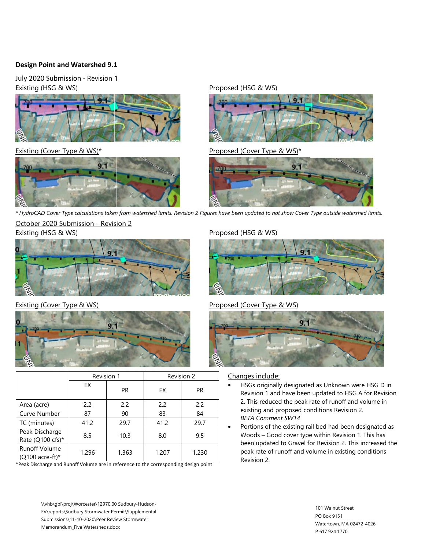### **Design Point and Watershed 9.1**

July 2020 Submission - Revision 1 Existing (HSG & WS) Proposed (HSG & WS)







Existing (Cover Type & WS)<sup>\*</sup> Proposed (Cover Type & WS)<sup>\*</sup>



*\* HydroCAD Cover Type calculations taken from watershed limits. Revision 2 Figures have been updated to not show Cover Type outside watershed limits.*

October 2020 Submission - Revision 2





|                                         | Revision 1 |           | Revision 2 |           |  |
|-----------------------------------------|------------|-----------|------------|-----------|--|
|                                         | EX         | <b>PR</b> | EX         | <b>PR</b> |  |
| Area (acre)                             | 2.2        | 2.2       | 2.2        | 2.2       |  |
| Curve Number                            | 87         | 90        | 83         | 84        |  |
| TC (minutes)                            | 41.2       | 29.7      | 41.2       | 29.7      |  |
| Peak Discharge<br>Rate (Q100 cfs)*      | 8.5        | 10.3      | 8.0        | 9.5       |  |
| <b>Runoff Volume</b><br>(Q100 acre-ft)* | 1.296      | 1.363     | 1.207      | 1.230     |  |

\*Peak Discharge and Runoff Volume are in reference to the corresponding design point

### \\vhb\gbl\proj\Worcester\12970.00 Sudbury-Hudson-EV\reports\Sudbury Stormwater Permit\Supplemental Submissions\11-10-2020\Peer Review Stormwater Memorandum\_Five Watersheds.docx

### Existing (HSG & WS) existing (HSG & WS)



### Existing (Cover Type & WS) Cover Type & WS)



### Changes include:

- HSGs originally designated as Unknown were HSG D in Revision 1 and have been updated to HSG A for Revision 2. This reduced the peak rate of runoff and volume in existing and proposed conditions Revision 2. *BETA Comment SW14*
- Portions of the existing rail bed had been designated as Woods – Good cover type within Revision 1. This has been updated to Gravel for Revision 2. This increased the peak rate of runoff and volume in existing conditions Revision 2.

101 Walnut Street PO Box 9151 Watertown, MA 02472-4026 P 617.924.1770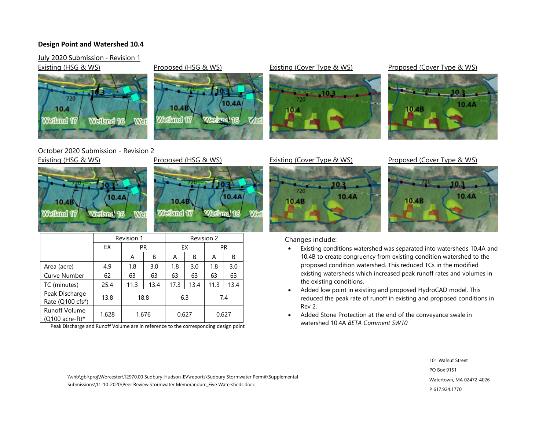### **Design Point and Watershed 10.4**

### July 2020 Submission - Revision 1

Existing (HSG & WS) Proposed (HSG & WS) Existing (Cover Type & WS) Proposed (Cover Type & WS)



### October 2020 Submission - Revision 2 Existing (HSG & WS) Proposed (HSG & WS) Existing (Cover Type & WS) Proposed (Cover Type & WS)



10.4B

Walland 17



10.4A

Wat

Weder d16

|                                            | Revision 1 |       |      | Revision 2 |      |           |      |
|--------------------------------------------|------------|-------|------|------------|------|-----------|------|
|                                            | EX         | PR    |      | EX         |      | <b>PR</b> |      |
|                                            |            | A     | B    | A          | B    | A         | B    |
| Area (acre)                                | 4.9        | 1.8   | 3.0  | 1.8        | 3.0  | 1.8       | 3.0  |
| Curve Number                               | 62         | 63    | 63   | 63         | 63   | 63        | 63   |
| TC (minutes)                               | 25.4       | 11.3  | 13.4 | 17.3       | 13.4 | 11.3      | 13.4 |
| Peak Discharge<br>Rate (Q100 cfs*)         | 13.8       | 18.8  |      | 6.3        |      | 7.4       |      |
| <b>Runoff Volume</b><br>(Q100 acre-ft) $*$ | 1.628      | 1.676 |      | 0.627      |      | 0.627     |      |

Peak Discharge and Runoff Volume are in reference to the corresponding design point





# 10.3 10.4A 10.4B

10.4A

### Changes include:

- Existing conditions watershed was separated into watersheds 10.4A and 10.4B to create congruency from existing condition watershed to the proposed condition watershed. This reduced TCs in the modified existing watersheds which increased peak runoff rates and volumes in the existing conditions.
- Added low point in existing and proposed HydroCAD model. This reduced the peak rate of runoff in existing and proposed conditions in Rev 2.
- Added Stone Protection at the end of the conveyance swale in watershed 10.4A *BETA Comment SW10*

101 Walnut Street PO Box 9151 Watertown, MA 02472-4026 P 617.924.1770

\\vhb\gbl\proj\Worcester\12970.00 Sudbury-Hudson-EV\reports\Sudbury Stormwater Permit\Supplemental Submissions\11-10-2020\Peer Review Stormwater Memorandum\_Five Watersheds.docx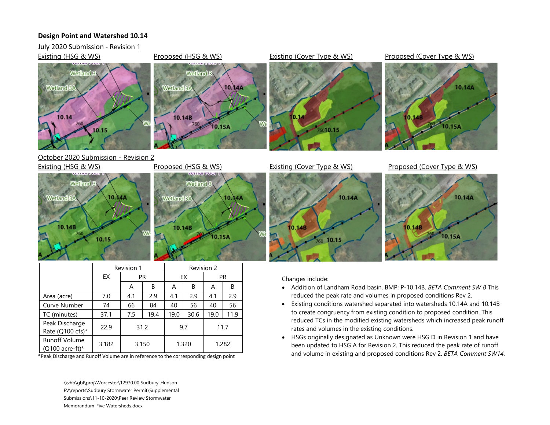### **Design Point and Watershed 10.14**

July 2020 Submission - Revision 1



|                                         | Revision 1 |           |      | Revision 2 |      |       |      |
|-----------------------------------------|------------|-----------|------|------------|------|-------|------|
|                                         | EX         | <b>PR</b> |      | EX         |      | PR.   |      |
|                                         |            | A         | В    | A          | B    | A     | B    |
| Area (acre)                             | 7.0        | 4.1       | 2.9  | 4.1        | 2.9  | 4.1   | 2.9  |
| Curve Number                            | 74         | 66        | 84   | 40         | 56   | 40    | 56   |
| TC (minutes)                            | 37.1       | 7.5       | 19.4 | 19.0       | 30.6 | 19.0  | 11.9 |
| Peak Discharge<br>Rate (Q100 cfs)*      | 22.9       | 31.2      |      | 9.7        |      | 11.7  |      |
| <b>Runoff Volume</b><br>(Q100 acre-ft)* | 3.182      | 3.150     |      | 1.320      |      | 1.282 |      |

\*Peak Discharge and Runoff Volume are in reference to the corresponding design point

\\vhb\gbl\proj\Worcester\12970.00 Sudbury-Hudson-EV\reports\Sudbury Stormwater Permit\Supplemental Submissions\11-10-2020\Peer Review Stormwater Memorandum\_Five Watersheds.docx

### Changes include:

- Addition of Landham Road basin, BMP: P-10.14B. *BETA Comment SW 8* This reduced the peak rate and volumes in proposed conditions Rev 2.
- Existing conditions watershed separated into watersheds 10.14A and 10.14B to create congruency from existing condition to proposed condition. This reduced TCs in the modified existing watersheds which increased peak runoff rates and volumes in the existing conditions.
- HSGs originally designated as Unknown were HSG D in Revision 1 and have been updated to HSG A for Revision 2. This reduced the peak rate of runoff and volume in existing and proposed conditions Rev 2. *BETA Comment SW14*.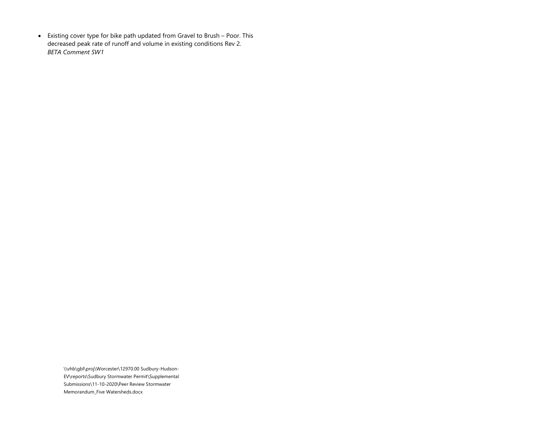• Existing cover type for bike path updated from Gravel to Brush – Poor. This decreased peak rate of runoff and volume in existing conditions Rev 2. *BETA Comment SW1*

> \\vhb\gbl\proj\Worcester\12970.00 Sudbury-Hudson-EV\reports\Sudbury Stormwater Permit\Supplemental Submissions\11-10-2020\Peer Review Stormwater Memorandum\_Five Watersheds.docx